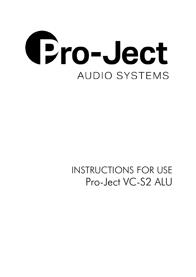

# INSTRUCTIONS FOR USE Pro-Ject VC-S2 ALU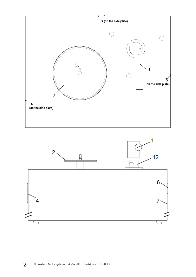

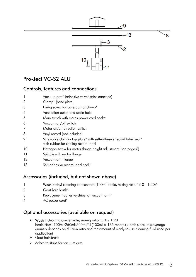

# Pro-Ject VC-S2 ALU

# Controls, features and connections

| $\mathbf{1}$   | Vacuum arm <sup>*</sup> (adhesive velvet strips attached)                                                  |
|----------------|------------------------------------------------------------------------------------------------------------|
| 2              | Clamp <sup>*</sup> (base plate)                                                                            |
| 3              | Fixing screw for base part of clamp*                                                                       |
| $\overline{A}$ | Ventilation outlet and drain hole                                                                          |
| 5              | Main switch with mains power cord socket                                                                   |
| 6              | Vacuum on/off switch                                                                                       |
| 7              | Motor on/off direction switch                                                                              |
| 8              | Vinyl record (not included)                                                                                |
| 9              | Screwable clamp - top plate* with self-adhesive record label seal*<br>with rubber for sealing record label |
| 10             | Hexagon screw for motor flange height adjustment (see page 6)                                              |
| 11             | Spindle with motor flange                                                                                  |
| 12             | Vacuum arm flange                                                                                          |
| 13             | Self-adhesive record label seal*                                                                           |

# Accessories (included, but not shown above)

|  | Wash it vinyl cleaning concentrate (100ml bottle, mixing ratio 1:10 - 1:20)* |
|--|------------------------------------------------------------------------------|
|--|------------------------------------------------------------------------------|

- 2 Goat hair brush\*
- 3 Replacement adhesive strips for vacuum arm\*
- 4 AC power cord\*

# Optional accessories (available on request)

- $\triangleright$  Wash it cleaning concentrate, mixing ratio 1:10 1:20 bottle sizes: 100ml/250ml/500ml/1l (100ml ≙ 135 records / both sides, this average quantity depends on dilution ratio and the amount of ready-to-use cleaning fluid used per application)
- Goat hair brush
- Adhesive strips for vacuum arm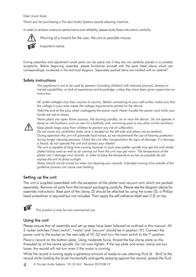Dear music lover,

Thank you for purchasing a Pro-Ject Audio Systems record cleaning machine.

In order to achieve maximum performance and reliability, please study these instructions carefully.



*Warning of a hazard for the user, the unit or possible misuse.*

*Important notice.*

During assembly and adjustment small parts can be easily lost if they are not carefully placed in a suitable receptacle. Before beginning assembly, please familiarize yourself with the parts listed above which are correspondingly numbered in the technical diagram. Separately packed items are marked with an asterisk\*.

### Safety instructions

*This appliance is not to be used by persons (including children) with reduced physical, sensory or mental capabilities, or lack of experience and knowledge, unless they have been given supervision or instruction.*

*AC outlet voltages vary from country to country. Before connecting to your wall outlet, make sure that the voltage in your area meets the voltage requirements printed on the device.*

*Hold the end of the plug when unplugging the power cord. Never handle the power cord while your hands are wet or damp.*

*Never place any open flame sources, like burning candles, on or near the device. Do not operate in damp or wet locations, such as near to a bathtub, sink, swimming pool or any other similar locations.*



*Keep plastic bags away from children to prevent any risk of suffocation.*

*Do not cover any ventilation holes (one is located on the left side and others are on bottom). During operation this unit will generate loud noises, so we recommend the use of hearing protectors during longer cleaning sessions. Check the unit after transportation for signs of damage, if a damage is found, do not operate the unit and contact your dealer!*

*The unit is capable of long time running however in such case platter spindle may get hot and whole platter/clamp area as well as air coming out from the unit may get warm. The temperature of the platter can´t damage vinyl records. In order to keep the temperature as low as possible do not expose the unit to direct sunlight.*

*Motor should not be turned on when not cleaning your records. Extended running time outside of the guideline process can cause over-heating.*

#### Setting up the unit

The unit is supplied assembled with the exception of the platter and vacuum arm which are packed separately. Remove all parts from the transport packaging carefully. Please see the diagram above for assembly instructions. Base part of the clamp (2) should be attached by using the screw (3), a Phillips head screwdriver is required but not included. Then apply the self-adhesive label seal (13) on top.



*This product is only for non-commercial use.*

#### Using the unit

Please ensure that all assembly and set up steps have been followed as outlined in this manual. All 3 rocker switches ("main switch", "motor" and "vacuum" should be in position "0"). Connect the power cord to the socket on the rear side of VC-S2 and turn the main switch to the "I" position. Place a record on the bottom plate. Using moderate force, thread the top clamp plate on the threaded tip of the centre spindle. Do not over-tighten. If the top plate and screw clamp are too loose, the record will not turn even if the motor is running.

While the record is turning apply a generous amount of ready-to-use cleaning fluid (6 - 8ml) to the record while holding the brush horizontally and gently pressing against the record, spread the fluid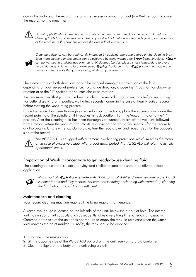across the surface of the record. Use only the necessary amount of fluid (6 – 8ml), enough to cover the record, not the machine!



*Do not apply Wash it in less than a 1:10 mix of fluid and water directly to the record! Do not use cleaning fluids from other suppliers. Use only so little fluid that it is not regularly getting on the surface of the machine. If this happens remove the excess fluid with a tissue.* 



*Cleaning efficiency can be significantly improved by applying appropriate force on the cleaning brush. Even more cleaning improvement can be achieved by using warmed-up Wash It cleaning fluid.* Wash It *can be warmed in a microwave oven up to 40 degrees Celsius, please check temperature to avoid record damage. Dilution ratio of warmed-up* Wash it *should be 1:20.* Wash It *is non-flammable and non-toxic. Please note that you are doing all this at your own risk.*

The motor can turn both directions or can be stopped during the application of the fluid, depending on your personal preference. To change direction, choose the "I" position for clockwise rotation or to the "II" position for counter-clockwise rotation.

It is recommended that you use the brush to clean the record in both directions before vacuuming. For better dissolving of impurities, wait a few seconds (longer in the case of heavily soiled records) before starting the vacuuming process.

Once the record has been thoroughly cleaned in both directions, place the vacuum arm above the record pointing at the spindle until it reaches its lock position. Turn the Vacuum motor to the "I" position. After the cleaning fluid has been thoroughly vacuumed, switch off the vacuum, followed by the motor. Return the vacuum arm into its rest position and wait a few seconds for the record to dry thoroughly. Unscrew the top clamp plate, turn the record over and repeat steps for the opposite side of the record.



*The VC-S2 ALU is equipped with automatic overheating protection, which switches the motor off in case of excessive usage. After a cool-down period, the VC-S2 ALU will return to its fully operational status.*

## Preparation of Wash it concentrate to get ready-to-use cleaning fluid

The cleaning concentrate is usable for vinyl and shellac records and should be diluted before application:



*Mix 1 part of* Wash it *concentrate with 10-20 parts of distilled / demineralized water*! *1:10*  is better for old and dirty records. For common cleaning or cleaning with warmed-up cleaning *fluid a dilution ratio of 1:20 is sufficient.*

## Maintenance and cleaning

Your record cleaning machine requires little to no regular maintenance.

A water level gauge is located on the left side of the unit, below the air outlet hole. The internal tank has a substantial capacity and subsequently takes a very long time to reach full capacity. Common home use of the unit does not require to empty the tank. In rare case when the water level reaches the point marked " ←MAX", the tank should be emptied:

- 1. disconnect the mains cable
- 2. Lift the opposite side of the VC-S2 ALU up to drain the unit reservoir to a big container.
- 3. Clean the liquid on the body of the unit using a cloth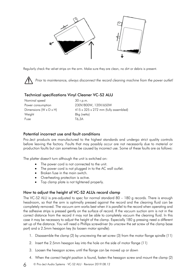

Regularly check the velvet strips on the arm. Make sure they are clean, no dirt or debris is present.

*Prior to maintenance, always disconnect the record cleaning machine from the power outlet!*

## Technical specifications Vinyl Cleaner VC-S2 ALU

| Nominal speed                      | 30 r.p.m.                                        |
|------------------------------------|--------------------------------------------------|
| Power consumption                  | 230V/800W, 120V/650W                             |
| Dimensions $(W \times D \times H)$ | $415 \times 325 \times 272$ mm (fully assembled) |
| Weight                             | 8kg (netto)                                      |
| Fuse                               | T6.3A                                            |
|                                    |                                                  |

## Potential incorrect use and fault conditions

Pro-Ject products are manufactured to the highest standards and undergo strict quality controls before leaving the factory. Faults that may possibly occur are not necessarily due to material or production faults but can sometimes be caused by incorrect use. Some of these faults are as follows:

The platter doesn't turn although the unit is switched on:

- The power cord is not connected to the unit.
- The power cord is not plugged in to the AC wall outlet.
- Broken fuse in the main switch.
- Overheating protection is active.
- Top clamp plate is not tightened properly.

## How to adjust the height of VC-S2 ALUs record clamp

The VC-S2 ALU is pre-adjusted to spec for normal standard 80 – 180 g records. There is enough headroom, so that the arm is optimally pressed against the record and the cleaning fluid can be completely removed. The vacuum arm works best when it is parallel to the record when operating and the adhesive strips is pressed gently on the surface of record. If the vacuum suction arm is not in the correct distance from the record it may not be able to completely vacuum the cleaning fluid. In this case it may be necessary to adjust the height of the clamp. Especially 180 g pressing need a different set up of the distance. You will need a Phillips screwdriver (to unscrew the set screw of the clamp base part) and a 2.5mm hexagon key (to loosen motor spindle):

- 1. Disassemble the clamp (2) by unscrewing the set screw (3) from the motor flange spindle (11)
- 2. Insert the 2.5mm hexagon key into the hole on the side of motor flange (11)
- 3. Loosen the hexagon screw, until the flange can be moved up or down
- 4. When the correct height position is found, fasten the hexagon screw and mount the clamp (2)